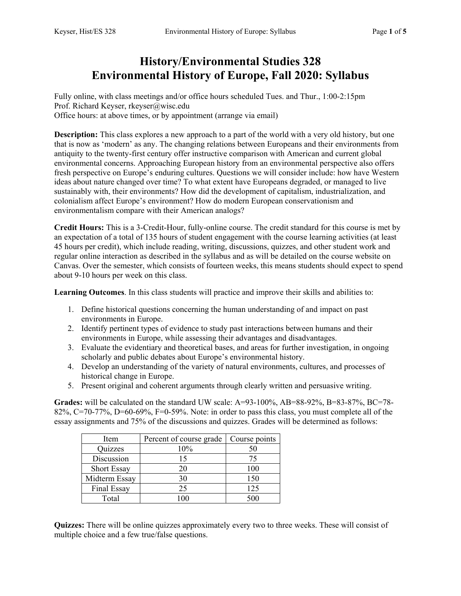## **History/Environmental Studies 328 Environmental History of Europe, Fall 2020: Syllabus**

Fully online, with class meetings and/or office hours scheduled Tues. and Thur., 1:00-2:15pm Prof. Richard Keyser, rkeyser@wisc.edu Office hours: at above times, or by appointment (arrange via email)

**Description:** This class explores a new approach to a part of the world with a very old history, but one that is now as 'modern' as any. The changing relations between Europeans and their environments from antiquity to the twenty-first century offer instructive comparison with American and current global environmental concerns. Approaching European history from an environmental perspective also offers fresh perspective on Europe's enduring cultures. Questions we will consider include: how have Western ideas about nature changed over time? To what extent have Europeans degraded, or managed to live sustainably with, their environments? How did the development of capitalism, industrialization, and colonialism affect Europe's environment? How do modern European conservationism and environmentalism compare with their American analogs?

**Credit Hours:** This is a 3-Credit-Hour, fully-online course. The credit standard for this course is met by an expectation of a total of 135 hours of student engagement with the course learning activities (at least 45 hours per credit), which include reading, writing, discussions, quizzes, and other student work and regular online interaction as described in the syllabus and as will be detailed on the course website on Canvas. Over the semester, which consists of fourteen weeks, this means students should expect to spend about 9-10 hours per week on this class.

**Learning Outcomes**. In this class students will practice and improve their skills and abilities to:

- 1. Define historical questions concerning the human understanding of and impact on past environments in Europe.
- 2. Identify pertinent types of evidence to study past interactions between humans and their environments in Europe, while assessing their advantages and disadvantages.
- 3. Evaluate the evidentiary and theoretical bases, and areas for further investigation, in ongoing scholarly and public debates about Europe's environmental history.
- 4. Develop an understanding of the variety of natural environments, cultures, and processes of historical change in Europe.
- 5. Present original and coherent arguments through clearly written and persuasive writing.

**Grades:** will be calculated on the standard UW scale: A=93-100%, AB=88-92%, B=83-87%, BC=78-82%, C=70-77%, D=60-69%, F=0-59%. Note: in order to pass this class, you must complete all of the essay assignments and 75% of the discussions and quizzes. Grades will be determined as follows:

| Item               | Percent of course grade | Course points |
|--------------------|-------------------------|---------------|
| Quizzes            | 10%                     | 50            |
| Discussion         | 15                      | 75            |
| <b>Short Essay</b> | 20                      | 100           |
| Midterm Essay      | 30                      | 150           |
| Final Essay        | 25                      | 125           |
| Total              |                         |               |

**Quizzes:** There will be online quizzes approximately every two to three weeks. These will consist of multiple choice and a few true/false questions.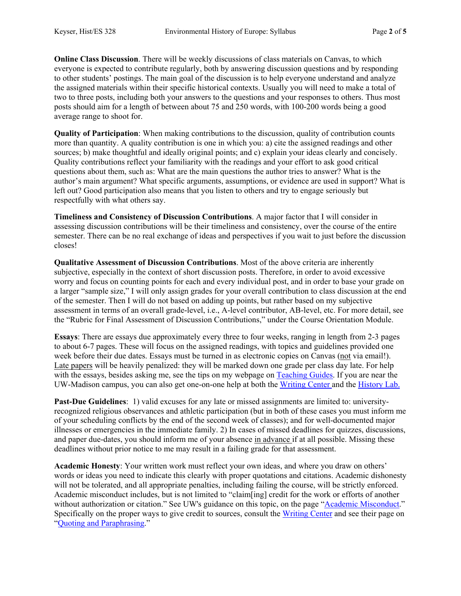**Online Class Discussion**. There will be weekly discussions of class materials on Canvas, to which everyone is expected to contribute regularly, both by answering discussion questions and by responding to other students' postings. The main goal of the discussion is to help everyone understand and analyze the assigned materials within their specific historical contexts. Usually you will need to make a total of two to three posts, including both your answers to the questions and your responses to others. Thus most posts should aim for a length of between about 75 and 250 words, with 100-200 words being a good average range to shoot for.

**Quality of Participation**: When making contributions to the discussion, quality of contribution counts more than quantity. A quality contribution is one in which you: a) cite the assigned readings and other sources; b) make thoughtful and ideally original points; and c) explain your ideas clearly and concisely. Quality contributions reflect your familiarity with the readings and your effort to ask good critical questions about them, such as: What are the main questions the author tries to answer? What is the author's main argument? What specific arguments, assumptions, or evidence are used in support? What is left out? Good participation also means that you listen to others and try to engage seriously but respectfully with what others say.

**Timeliness and Consistency of Discussion Contributions**. A major factor that I will consider in assessing discussion contributions will be their timeliness and consistency, over the course of the entire semester. There can be no real exchange of ideas and perspectives if you wait to just before the discussion closes!

**Qualitative Assessment of Discussion Contributions**. Most of the above criteria are inherently subjective, especially in the context of short discussion posts. Therefore, in order to avoid excessive worry and focus on counting points for each and every individual post, and in order to base your grade on a larger "sample size," I will only assign grades for your overall contribution to class discussion at the end of the semester. Then I will do not based on adding up points, but rather based on my subjective assessment in terms of an overall grade-level, i.e., A-level contributor, AB-level, etc. For more detail, see the "Rubric for Final Assessment of Discussion Contributions," under the Course Orientation Module.

**Essays**: There are essays due approximately every three to four weeks, ranging in length from 2-3 pages to about 6-7 pages. These will focus on the assigned readings, with topics and guidelines provided one week before their due dates. Essays must be turned in as electronic copies on Canvas (not via email!). Late papers will be heavily penalized: they will be marked down one grade per class day late. For help with the essays, besides asking me, see the tips on my webpage on Teaching Guides. If you are near the UW-Madison campus, you can also get one-on-one help at both the Writing Center and the History Lab.

**Past-Due Guidelines**: 1) valid excuses for any late or missed assignments are limited to: universityrecognized religious observances and athletic participation (but in both of these cases you must inform me of your scheduling conflicts by the end of the second week of classes); and for well-documented major illnesses or emergencies in the immediate family. 2) In cases of missed deadlines for quizzes, discussions, and paper due-dates, you should inform me of your absence in advance if at all possible. Missing these deadlines without prior notice to me may result in a failing grade for that assessment.

**Academic Honesty**: Your written work must reflect your own ideas, and where you draw on others' words or ideas you need to indicate this clearly with proper quotations and citations. Academic dishonesty will not be tolerated, and all appropriate penalties, including failing the course, will be strictly enforced. Academic misconduct includes, but is not limited to "claim[ing] credit for the work or efforts of another without authorization or citation." See UW's guidance on this topic, on the page "Academic Misconduct." Specifically on the proper ways to give credit to sources, consult the Writing Center and see their page on "Quoting and Paraphrasing."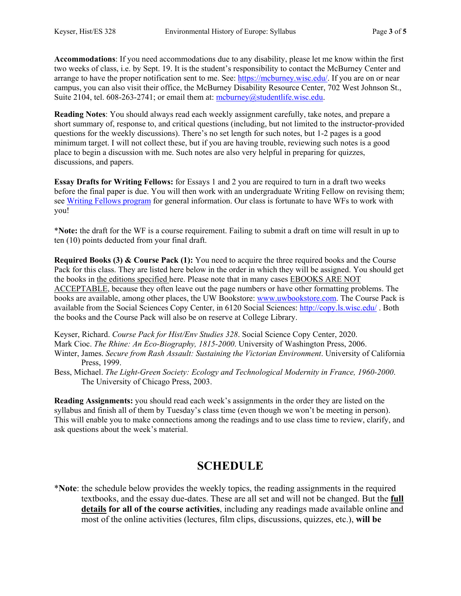**Accommodations**: If you need accommodations due to any disability, please let me know within the first two weeks of class, i.e. by Sept. 19. It is the student's responsibility to contact the McBurney Center and arrange to have the proper notification sent to me. See: https://mcburney.wisc.edu/. If you are on or near campus, you can also visit their office, the McBurney Disability Resource Center, 702 West Johnson St., Suite 2104, tel. 608-263-2741; or email them at: mcburney@studentlife.wisc.edu.

**Reading Notes**: You should always read each weekly assignment carefully, take notes, and prepare a short summary of, response to, and critical questions (including, but not limited to the instructor-provided questions for the weekly discussions). There's no set length for such notes, but 1-2 pages is a good minimum target. I will not collect these, but if you are having trouble, reviewing such notes is a good place to begin a discussion with me. Such notes are also very helpful in preparing for quizzes, discussions, and papers.

**Essay Drafts for Writing Fellows:** for Essays 1 and 2 you are required to turn in a draft two weeks before the final paper is due. You will then work with an undergraduate Writing Fellow on revising them; see Writing Fellows program for general information. Our class is fortunate to have WFs to work with you!

\***Note:** the draft for the WF is a course requirement. Failing to submit a draft on time will result in up to ten (10) points deducted from your final draft.

**Required Books (3) & Course Pack (1):** You need to acquire the three required books and the Course Pack for this class. They are listed here below in the order in which they will be assigned. You should get the books in the editions specified here. Please note that in many cases EBOOKS ARE NOT ACCEPTABLE, because they often leave out the page numbers or have other formatting problems. The books are available, among other places, the UW Bookstore: www.uwbookstore.com. The Course Pack is available from the Social Sciences Copy Center, in 6120 Social Sciences: http://copy.ls.wisc.edu/ . Both the books and the Course Pack will also be on reserve at College Library.

Keyser, Richard. *Course Pack for Hist/Env Studies 328*. Social Science Copy Center, 2020. Mark Cioc. *The Rhine: An Eco-Biography, 1815-2000*. University of Washington Press, 2006. Winter, James. *Secure from Rash Assault: Sustaining the Victorian Environment*. University of California Press, 1999.

Bess, Michael. *The Light-Green Society: Ecology and Technological Modernity in France, 1960-2000*. The University of Chicago Press, 2003.

**Reading Assignments:** you should read each week's assignments in the order they are listed on the syllabus and finish all of them by Tuesday's class time (even though we won't be meeting in person). This will enable you to make connections among the readings and to use class time to review, clarify, and ask questions about the week's material.

## **SCHEDULE**

\***Note**: the schedule below provides the weekly topics, the reading assignments in the required textbooks, and the essay due-dates. These are all set and will not be changed. But the **full details for all of the course activities**, including any readings made available online and most of the online activities (lectures, film clips, discussions, quizzes, etc.), **will be**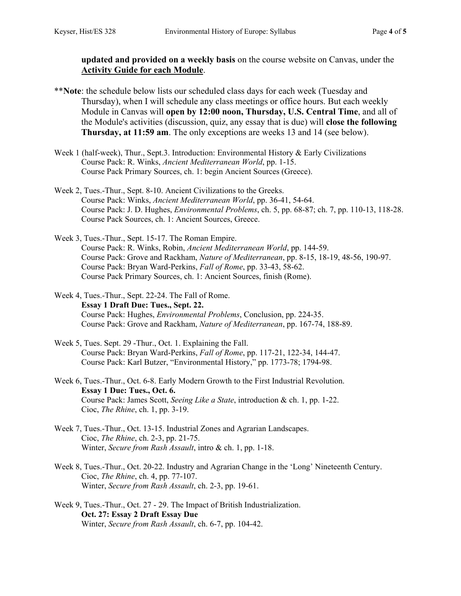**updated and provided on a weekly basis** on the course website on Canvas, under the **Activity Guide for each Module**.

- \*\***Note**: the schedule below lists our scheduled class days for each week (Tuesday and Thursday), when I will schedule any class meetings or office hours. But each weekly Module in Canvas will **open by 12:00 noon, Thursday, U.S. Central Time**, and all of the Module's activities (discussion, quiz, any essay that is due) will **close the following Thursday, at 11:59 am**. The only exceptions are weeks 13 and 14 (see below).
- Week 1 (half-week), Thur., Sept.3. Introduction: Environmental History & Early Civilizations Course Pack: R. Winks, *Ancient Mediterranean World*, pp. 1-15. Course Pack Primary Sources, ch. 1: begin Ancient Sources (Greece).
- Week 2, Tues.-Thur., Sept. 8-10. Ancient Civilizations to the Greeks. Course Pack: Winks, *Ancient Mediterranean World*, pp. 36-41, 54-64. Course Pack: J. D. Hughes, *Environmental Problems*, ch. 5, pp. 68-87; ch. 7, pp. 110-13, 118-28. Course Pack Sources, ch. 1: Ancient Sources, Greece.
- Week 3, Tues.-Thur., Sept. 15-17. The Roman Empire. Course Pack: R. Winks, Robin, *Ancient Mediterranean World*, pp. 144-59. Course Pack: Grove and Rackham, *Nature of Mediterranean*, pp. 8-15, 18-19, 48-56, 190-97. Course Pack: Bryan Ward-Perkins, *Fall of Rome*, pp. 33-43, 58-62. Course Pack Primary Sources, ch. 1: Ancient Sources, finish (Rome).
- Week 4, Tues.-Thur., Sept. 22-24. The Fall of Rome. **Essay 1 Draft Due: Tues., Sept. 22.** Course Pack: Hughes, *Environmental Problems*, Conclusion, pp. 224-35. Course Pack: Grove and Rackham, *Nature of Mediterranean*, pp. 167-74, 188-89.
- Week 5, Tues. Sept. 29 -Thur., Oct. 1. Explaining the Fall. Course Pack: Bryan Ward-Perkins, *Fall of Rome*, pp. 117-21, 122-34, 144-47. Course Pack: Karl Butzer, "Environmental History," pp. 1773-78; 1794-98.
- Week 6, Tues.-Thur., Oct. 6-8. Early Modern Growth to the First Industrial Revolution. **Essay 1 Due: Tues., Oct. 6.**  Course Pack: James Scott, *Seeing Like a State*, introduction & ch. 1, pp. 1-22. Cioc, *The Rhine*, ch. 1, pp. 3-19.
- Week 7, Tues.-Thur., Oct. 13-15. Industrial Zones and Agrarian Landscapes. Cioc, *The Rhine*, ch. 2-3, pp. 21-75. Winter, *Secure from Rash Assault*, intro & ch. 1, pp. 1-18.
- Week 8, Tues.-Thur., Oct. 20-22. Industry and Agrarian Change in the 'Long' Nineteenth Century. Cioc, *The Rhine*, ch. 4, pp. 77-107. Winter, *Secure from Rash Assault*, ch. 2-3, pp. 19-61.
- Week 9, Tues.-Thur., Oct. 27 29. The Impact of British Industrialization. **Oct. 27: Essay 2 Draft Essay Due**  Winter, *Secure from Rash Assault*, ch. 6-7, pp. 104-42.